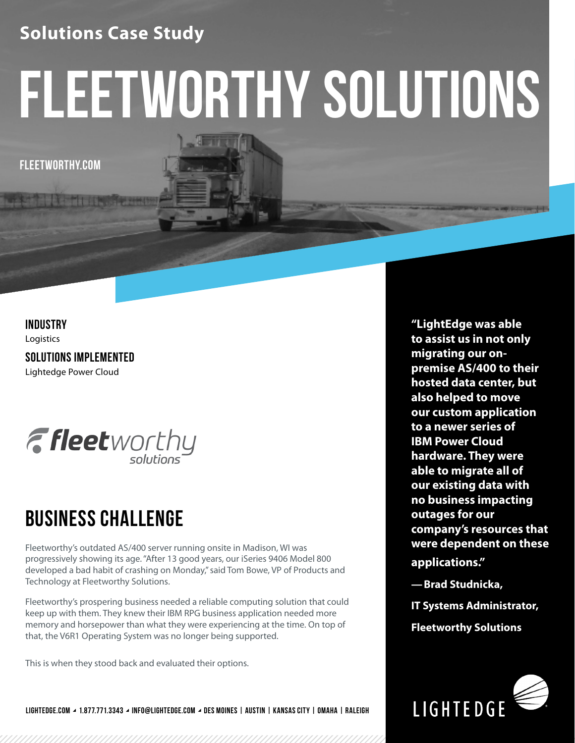## **Solutions Case Study**

# **fleetworthy solutions**

**FLEETWORTHY.COM**

### **INDUSTRY**

Logistics

**SOLUTIONS IMPLEMENTED** Lightedge Power Cloud



## **BUSINESS CHALLENGE**

Fleetworthy's outdated AS/400 server running onsite in Madison, WI was progressively showing its age. "After 13 good years, our iSeries 9406 Model 800 developed a bad habit of crashing on Monday," said Tom Bowe, VP of Products and Technology at Fleetworthy Solutions.

Fleetworthy's prospering business needed a reliable computing solution that could keep up with them. They knew their IBM RPG business application needed more memory and horsepower than what they were experiencing at the time. On top of that, the V6R1 Operating System was no longer being supported.

This is when they stood back and evaluated their options.

**LIGHTEDGE.COM 1.877.771.3343 INFO@LIGHTEDGE.COM DES MOINES | AUSTIN | KANSAS CITY | OMAHA | RALEIGH**

**"LightEdge was able to assist us in not only migrating our onpremise AS/400 to their hosted data center, but also helped to move our custom application to a newer series of IBM Power Cloud hardware. They were able to migrate all of our existing data with no business impacting outages for our company's resources that were dependent on these applications."** 

**—Brad Studnicka,**

**IT Systems Administrator, Fleetworthy Solutions**